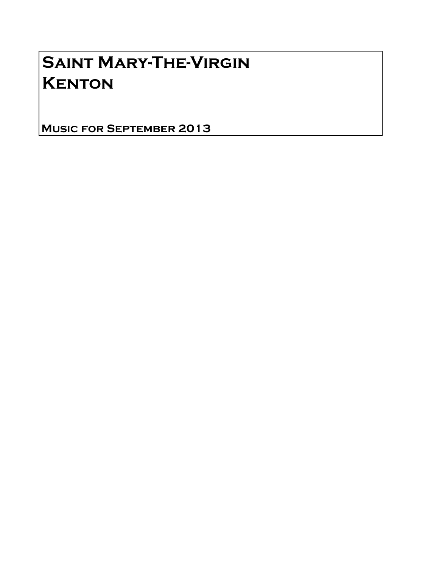# Saint Mary-The-Virgin **KENTON**

Music for September 2013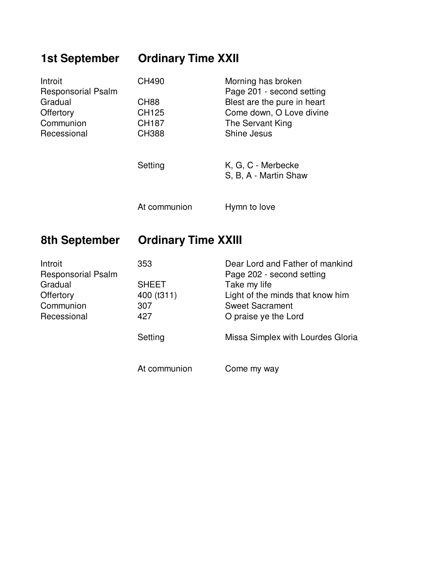## **1st September Ordinary Time XXII**

| Introit<br><b>Responsorial Psalm</b> | CH490        | Morning has broken<br>Page 201 - second setting |
|--------------------------------------|--------------|-------------------------------------------------|
| Gradual                              | <b>CH88</b>  | Blest are the pure in heart                     |
| Offertory                            | CH125        | Come down, O Love divine                        |
| Communion                            | <b>CH187</b> | The Servant King                                |
| Recessional                          | <b>CH388</b> | Shine Jesus                                     |
|                                      | Setting      | K, G, C - Merbecke<br>S, B, A - Martin Shaw     |
|                                      | At communion | Hymn to love                                    |

## **8th September Ordinary Time XXIII**

| Introit                   | 353          | Dear Lord and Father of mankind   |
|---------------------------|--------------|-----------------------------------|
| <b>Responsorial Psalm</b> |              | Page 202 - second setting         |
| Gradual                   | <b>SHEET</b> | Take my life                      |
| Offertory                 | 400 (t311)   | Light of the minds that know him  |
| Communion                 | 307          | <b>Sweet Sacrament</b>            |
| Recessional               | 427          | O praise ye the Lord              |
|                           | Setting      | Missa Simplex with Lourdes Gloria |
|                           | At communion | Come my way                       |